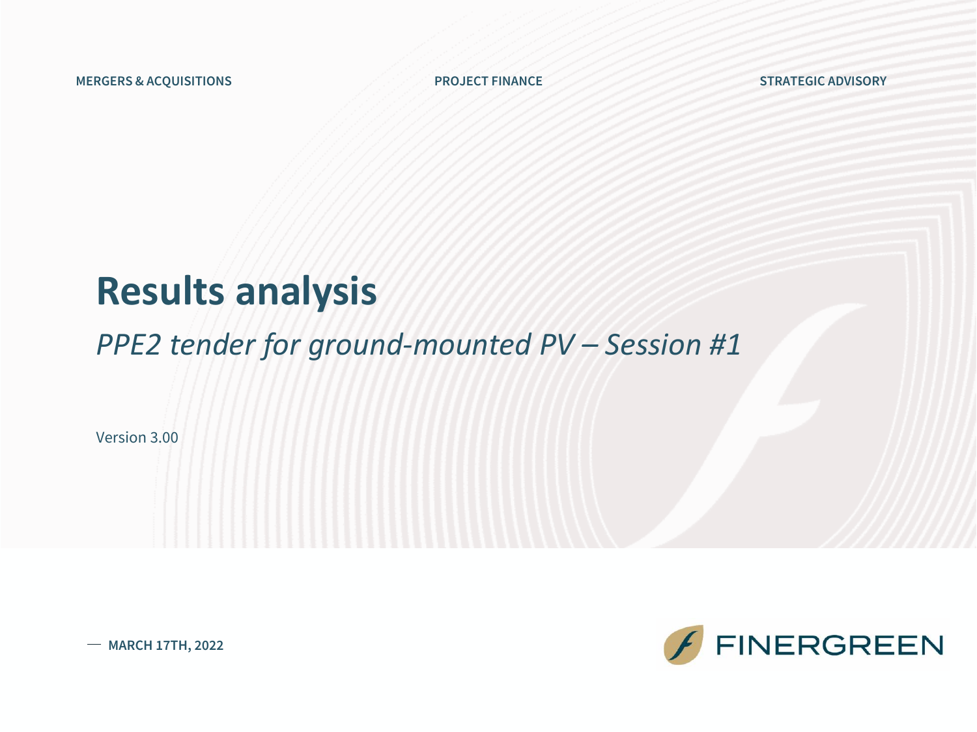**MERGERS & ACQUISITIONS PROJECT FINANCE STRATEGIC ADVISORY**

### **Results analysis**

### *PPE2 tender for ground-mounted PV – Session #1*

Version 3.00



**MARCH 17TH, 2022**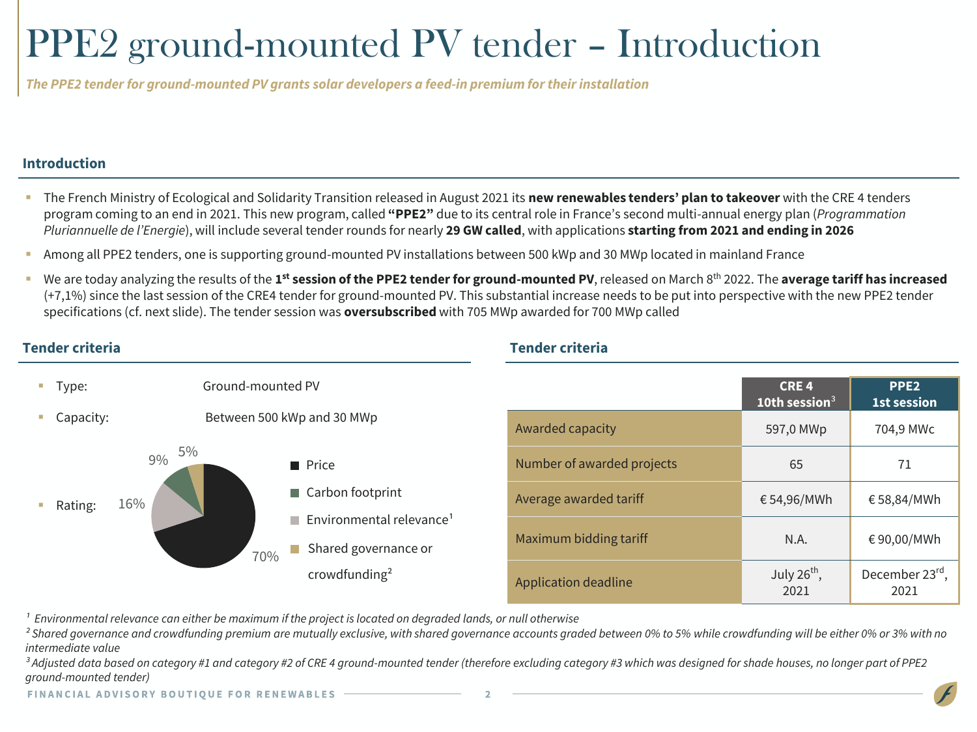# PPE2 ground-mounted PV tender – Introduction

*The PPE2 tenderfor ground-mounted PV grants solar developers a feed-in premium fortheirinstallation*

#### **Introduction**

- The French Ministry of Ecological and Solidarity Transition released in August 2021 its **new renewables tenders' plan to takeover** with the CRE 4 tenders program coming to an end in 2021. This new program, called **"PPE2"** due to its central role in France's second multi-annual energy plan (*Programmation Pluriannuelle de l'Energie*), will include several tender rounds for nearly **29 GW called**, with applications **starting from 2021 and ending in 2026**
- Among all PPE2 tenders, one is supporting ground-mounted PV installations between 500 kWp and 30 MWp located in mainland France
- **UPEN 2022** The **analyzing the results of the 1<sup>st</sup> session of the PPE2 tender for ground-mounted PV**, released on March 8<sup>th</sup> 2022. The average tariff has increased (+7,1%) since the last session of the CRE4 tender for ground-mounted PV. This substantial increase needs to be put into perspective with the new PPE2 tender specifications (cf. next slide). The tender session was **oversubscribed** with 705 MWp awarded for 700 MWp called

#### **CRE 4 10th session**³ **PPE2 1st session** Awarded capacity 1997 Contract 1997,0 MWp 704,9 MWc Number of awarded projects 65 65 71 Average awarded tariff  $654,96/MWh$   $658,84/MWh$ Maximum bidding tariff  $N.A.$   $\leftarrow$  90,00/MWh Application deadline July  $26^{th}$ , 2021 December 23rd, 2021 ■ Type: Ground-mounted PV ■ Capacity: Between 500 kWp and 30 MWp Rating: 70% 16% 9% 5% **Price** ■ Carbon footprint Shared governance or crowdfunding²  $\blacksquare$  Environmental relevance<sup>1</sup>

**Tender criteria Tender criteria**

*¹ Environmental relevance can either be maximum if the project is located on degraded lands, or null otherwise*

*² Shared governance and crowdfunding premium are mutually exclusive, with shared governance accounts graded between 0% to 5% while crowdfunding will be either 0% or 3% with no intermediate value*

*³ Adjusted data based on category #1 and category #2 of CRE 4 ground-mounted tender (therefore excluding category #3 which was designed for shade houses, no longer part of PPE2 ground-mounted tender)*

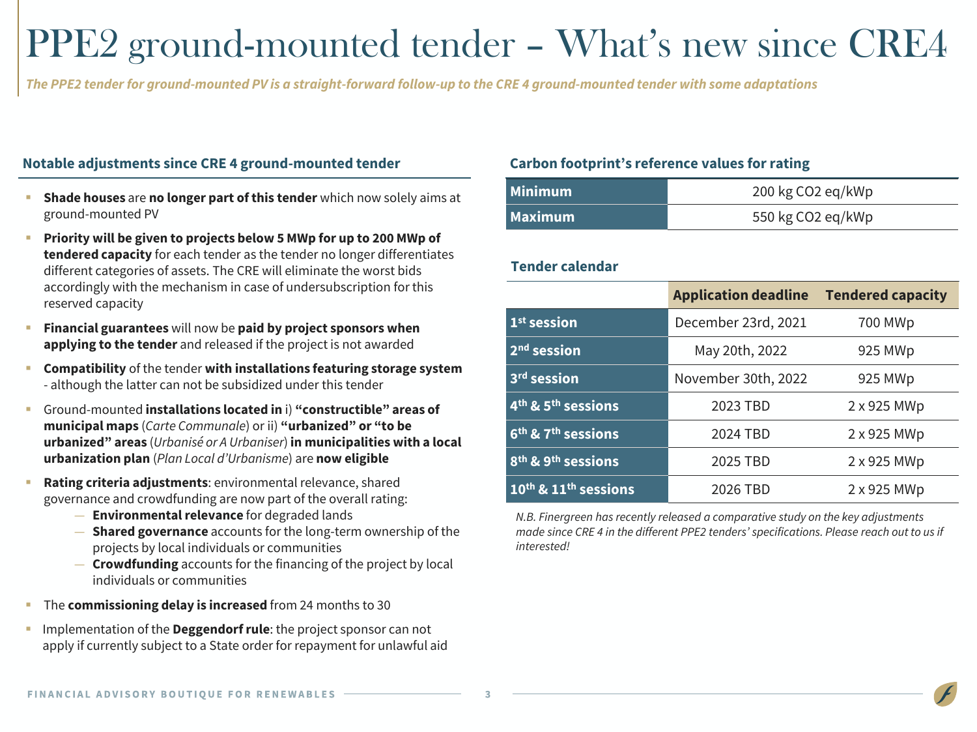### PPE2 ground-mounted tender – What's new since CRE4

The PPE2 tender for ground-mounted PV is a straight-forward follow-up to the CRE 4 ground-mounted tender with some adaptations

#### **Notable adjustments since CRE 4 ground-mounted tender Carbon footprint's reference values for rating**

- **EXECT** Shade houses are no longer part of this tender which now solely aims at ground-mounted PV
- **Priority will be given to projects below 5 MWp for up to 200 MWp of tendered capacity** for each tender as the tender no longer differentiates different categories of assets. The CRE will eliminate the worst bids accordingly with the mechanism in case of undersubscription for this reserved capacity
- **Financial guarantees** will now be **paid by project sponsors when applying to the tender** and released if the project is not awarded
- **Compatibility** of the tender **with installations featuring storage system** - although the latter can not be subsidized under this tender
- Ground-mounted **installations located in** i) **"constructible" areas of municipal maps** (*Carte Communale*) or ii) **"urbanized" or "to be urbanized" areas** (*Urbanisé or A Urbaniser*) **in municipalities with a local urbanization plan** (*Plan Local d'Urbanisme*) are **now eligible**
- **Rating criteria adjustments: environmental relevance, shared** governance and crowdfunding are now part of the overall rating:
	- **Environmental relevance** for degraded lands
	- **Shared governance** accounts for the long-term ownership of the projects by local individuals or communities
	- **Crowdfunding** accounts for the financing of the project by local individuals or communities
- The **commissioning delay is increased** from 24 months to 30
- **EXTERGHTM** Implementation of the **Deggendorf rule**: the project sponsor can not apply if currently subject to a State order for repayment for unlawful aid

| Minimum | 200 kg CO2 eq/kWp |  |  |  |  |
|---------|-------------------|--|--|--|--|
| Maximum | 550 kg CO2 eq/kWp |  |  |  |  |

#### **Tender calendar**

|                                              | <b>Application deadline</b> | <b>Tendered capacity</b> |
|----------------------------------------------|-----------------------------|--------------------------|
| 1 <sup>st</sup> session                      | December 23rd, 2021         | 700 MWp                  |
| $2nd$ session                                | May 20th, 2022              | 925 MWp                  |
| 3 <sup>rd</sup> session                      | November 30th, 2022         | 925 MWp                  |
| 4 <sup>th</sup> & 5 <sup>th</sup> sessions   | 2023 TBD                    | 2 x 925 MWp              |
| 6 <sup>th</sup> & 7 <sup>th</sup> sessions   | 2024 TBD                    | 2 x 925 MWp              |
| 8 <sup>th</sup> & 9 <sup>th</sup> sessions   | 2025 TBD                    | 2 x 925 MWp              |
| $10^{\text{th}}$ & $11^{\text{th}}$ sessions | 2026 TBD                    | 2 x 925 MWp              |

*N.B. Finergreen has recently released a comparative study on the key adjustments made since CRE 4 in the different PPE2 tenders' specifications. Please reach out to us if interested!*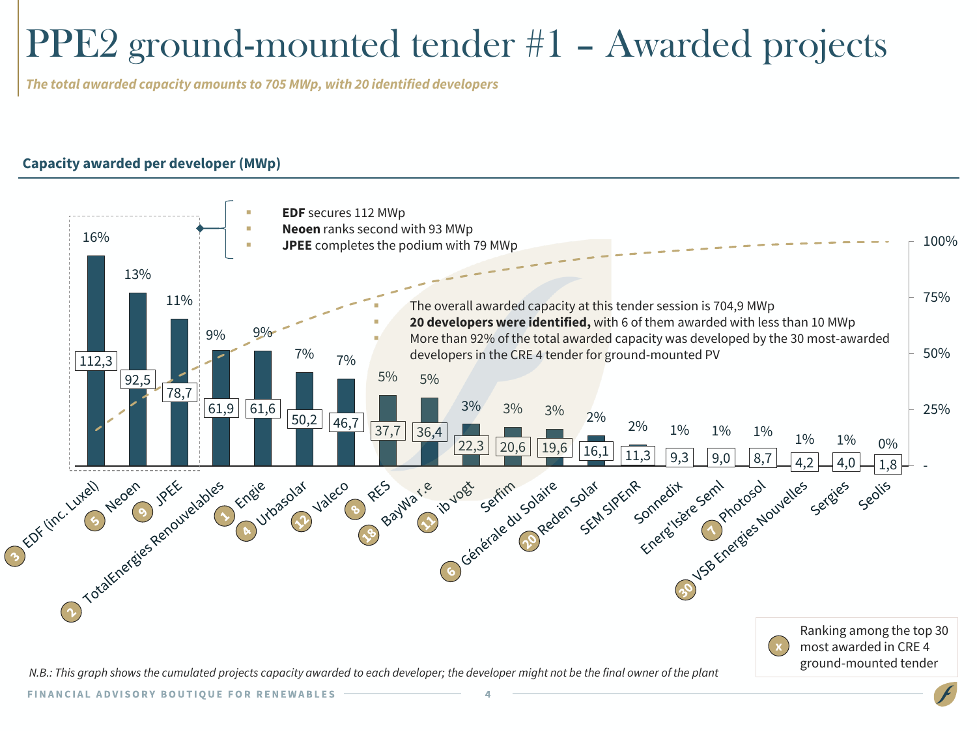# PPE2 ground-mounted tender #1 – Awarded projects

*The total awarded capacity amounts to 705 MWp, with 20 identified developers*

### **Capacity awarded per developer (MWp)**

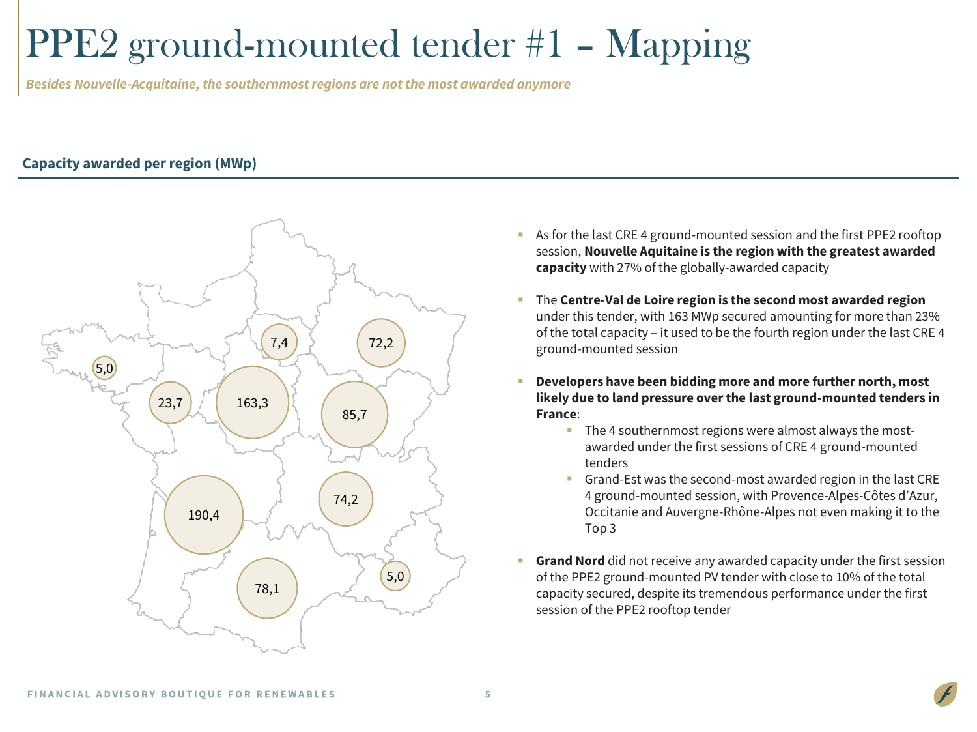### PPE2 ground-mounted tender #1 – Mapping

*Besides Nouvelle-Acquitaine,the southernmostregions are not the most awarded anymore*

#### **Capacity awarded per region (MWp)**



- As for the last CRE 4 ground-mounted session and the first PPE2 rooftop session, **Nouvelle Aquitaine is the region with the greatest awarded capacity** with 27% of the globally-awarded capacity
- The **Centre-Val de Loire region is the second most awarded region** under this tender, with 163 MWp secured amounting for more than 23% of the total capacity – it used to be the fourth region under the last CRE 4 ground-mounted session
- **Developers have been bidding more and more further north, most likely due to land pressure over the last ground-mounted tenders in France**:
	- The 4 southernmost regions were almost always the mostawarded under the first sessions of CRE 4 ground-mounted tenders
	- Grand-Est was the second-most awarded region in the last CRE 4 ground-mounted session, with Provence-Alpes-Côtes d'Azur, Occitanie and Auvergne-Rhône-Alpes not even making it to the Top 3
- **Grand Nord** did not receive any awarded capacity under the first session of the PPE2 ground-mounted PV tender with close to 10% of the total capacity secured, despite its tremendous performance under the first session of the PPE2 rooftop tender

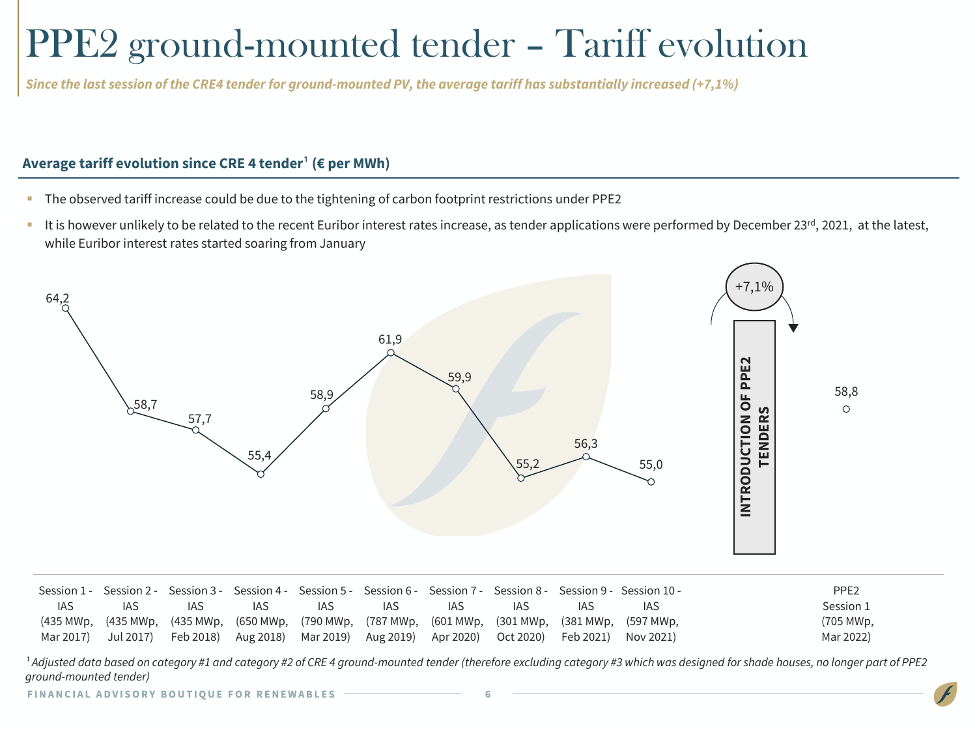### PPE2 ground-mounted tender – Tariff evolution

Since the last session of the CRE4 tender for ground-mounted PV, the average tariff has substantially increased (+7,1%)

#### **Average tariff evolution since CRE 4 tender<sup>1</sup> (€ per MWh)**

- The observed tariff increase could be due to the tightening of carbon footprint restrictions under PPE2
- It is however unlikely to be related to the recent Euribor interest rates increase, as tender applications were performed by December 23<sup>rd</sup>, 2021, at the latest, while Euribor interest rates started soaring from January



|            |            |      |      |      |                                                                                                     |      |     |      | -Session 1 - Session 2 - Session 3 - Session 4 - Session 5 - Session 6 - Session 7 - Session 8 - Session 9 - Session 10 | PPE <sub>2</sub> |
|------------|------------|------|------|------|-----------------------------------------------------------------------------------------------------|------|-----|------|-------------------------------------------------------------------------------------------------------------------------|------------------|
| <b>IAS</b> | <b>IAS</b> | IAS. | IAS. | IAS. | IAS.                                                                                                | IAS. | IAS | IAS. | IAS                                                                                                                     | Session 1        |
|            |            |      |      |      | (435 MWp, (435 MWp, (435 MWp, (650 MWp, (790 MWp, (787 MWp, (601 MWp, (301 MWp, (381 MWp, (597 MWp, |      |     |      |                                                                                                                         | (705 MWp,        |
|            |            |      |      |      | Mar 2017) Jul 2017) Feb 2018) Aug 2018) Mar 2019) Aug 2019) Apr 2020) Oct 2020) Feb 2021) Nov 2021) |      |     |      |                                                                                                                         | Mar 2022)        |

<sup>1</sup> Adjusted data based on category #1 and category #2 of CRE 4 ground-mounted tender (therefore excluding category #3 which was designed for shade houses, no longer part of PPE2 *ground-mounted tender)*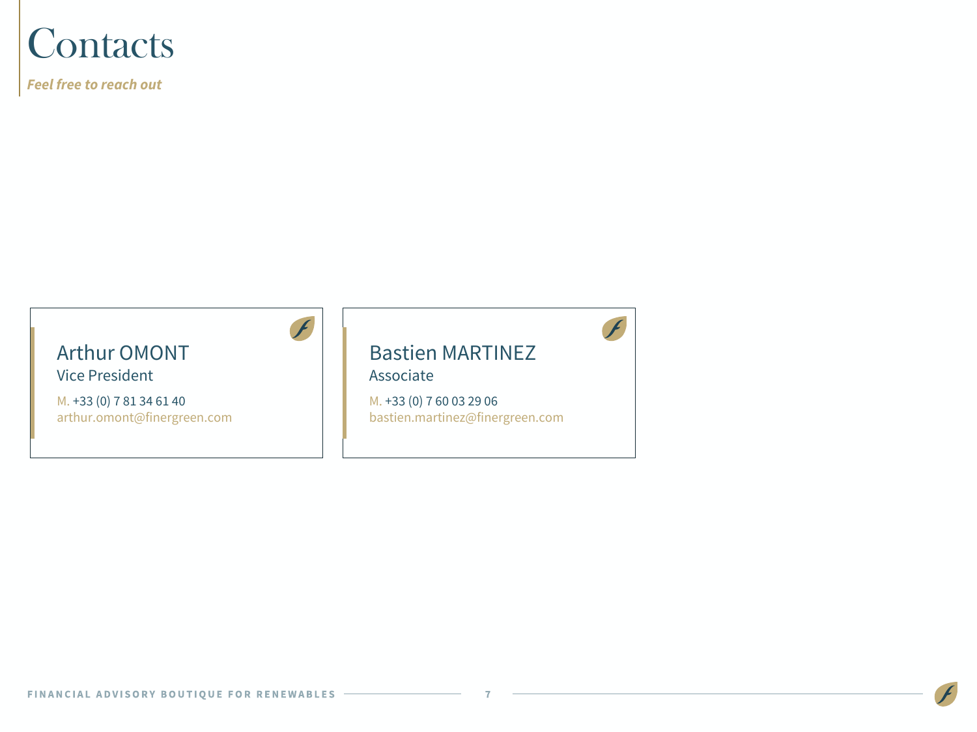### **Contacts**

*Feel free to reach out*